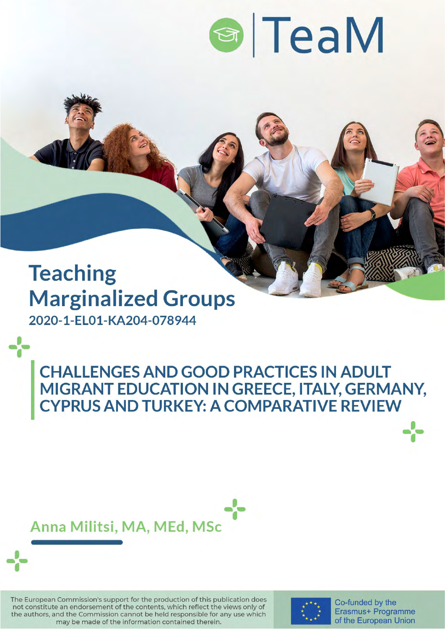

# **Teaching Marginalized Groups** 2020-1-EL01-KA204-078944

**CHALLENGES AND GOOD PRACTICES IN ADULT** MIGRANT EDUCATION IN GREECE, ITALY, GERMANY, **CYPRUS AND TURKEY: A COMPARATIVE REVIEW** 

# Anna Militsi, MA, MEd, MSc

The European Commission's support for the production of this publication does not constitute an endorsement of the contents, which reflect the views only of the authors, and the Commission cannot be held responsible for any use which may be made of the information contained therein.



Co-funded by the Erasmus+ Programme of the European Union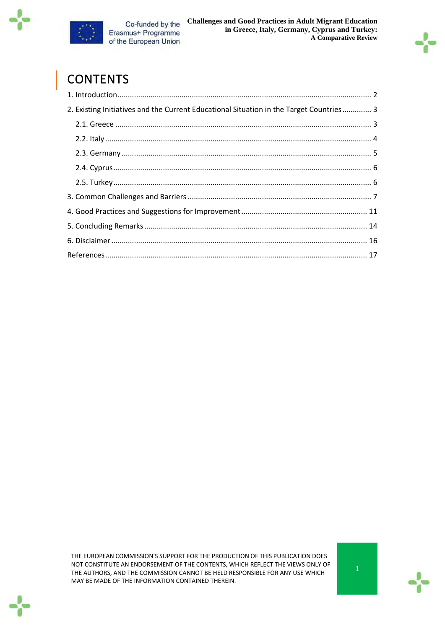



## **CONTENTS**

| 2. Existing Initiatives and the Current Educational Situation in the Target Countries 3 |  |
|-----------------------------------------------------------------------------------------|--|
|                                                                                         |  |
|                                                                                         |  |
|                                                                                         |  |
|                                                                                         |  |
|                                                                                         |  |
|                                                                                         |  |
|                                                                                         |  |
|                                                                                         |  |
|                                                                                         |  |
|                                                                                         |  |





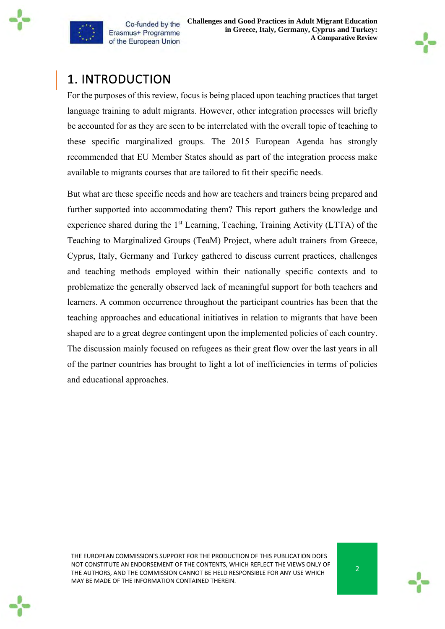



#### <span id="page-2-0"></span>1. INTRODUCTION

For the purposes of this review, focus is being placed upon teaching practices that target language training to adult migrants. However, other integration processes will briefly be accounted for as they are seen to be interrelated with the overall topic of teaching to these specific marginalized groups. The 2015 European Agenda has strongly recommended that EU Member States should as part of the integration process make available to migrants courses that are tailored to fit their specific needs.

But what are these specific needs and how are teachers and trainers being prepared and further supported into accommodating them? This report gathers the knowledge and experience shared during the 1<sup>st</sup> Learning, Teaching, Training Activity (LTTA) of the Teaching to Marginalized Groups (TeaM) Project, where adult trainers from Greece, Cyprus, Italy, Germany and Turkey gathered to discuss current practices, challenges and teaching methods employed within their nationally specific contexts and to problematize the generally observed lack of meaningful support for both teachers and learners. A common occurrence throughout the participant countries has been that the teaching approaches and educational initiatives in relation to migrants that have been shaped are to a great degree contingent upon the implemented policies of each country. The discussion mainly focused on refugees as their great flow over the last years in all of the partner countries has brought to light a lot of inefficiencies in terms of policies and educational approaches.

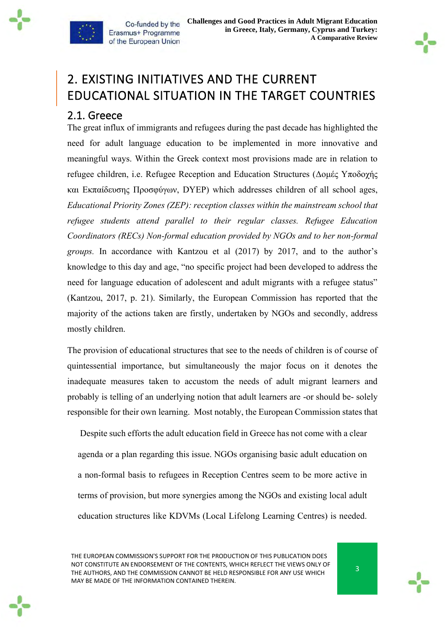

# <span id="page-3-0"></span>2. EXISTING INITIATIVES AND THE CURRENT EDUCATIONAL SITUATION IN THE TARGET COUNTRIES

#### <span id="page-3-1"></span>2.1. Greece

The great influx of immigrants and refugees during the past decade has highlighted the need for adult language education to be implemented in more innovative and meaningful ways. Within the Greek context most provisions made are in relation to refugee children, i.e. Refugee Reception and Education Structures (Δομές Υποδοχής και Εκπαίδευσης Προσφύγων, DYEP) which addresses children of all school ages, *Educational Priority Zones (ZEP): reception classes within the mainstream school that refugee students attend parallel to their regular classes. Refugee Education Coordinators (RECs) Non-formal education provided by NGOs and to her non-formal groups.* In accordance with Kantzou et al (2017) by 2017, and to the author's knowledge to this day and age, "no specific project had been developed to address the need for language education of adolescent and adult migrants with a refugee status" (Kantzou, 2017, p. 21). Similarly, the European Commission has reported that the majority of the actions taken are firstly, undertaken by NGOs and secondly, address mostly children.

The provision of educational structures that see to the needs of children is of course of quintessential importance, but simultaneously the major focus on it denotes the inadequate measures taken to accustom the needs of adult migrant learners and probably is telling of an underlying notion that adult learners are -or should be- solely responsible for their own learning. Most notably, the European Commission states that

Despite such efforts the adult education field in Greece has not come with a clear agenda or a plan regarding this issue. NGOs organising basic adult education on a non-formal basis to refugees in Reception Centres seem to be more active in terms of provision, but more synergies among the NGOs and existing local adult education structures like KDVMs (Local Lifelong Learning Centres) is needed.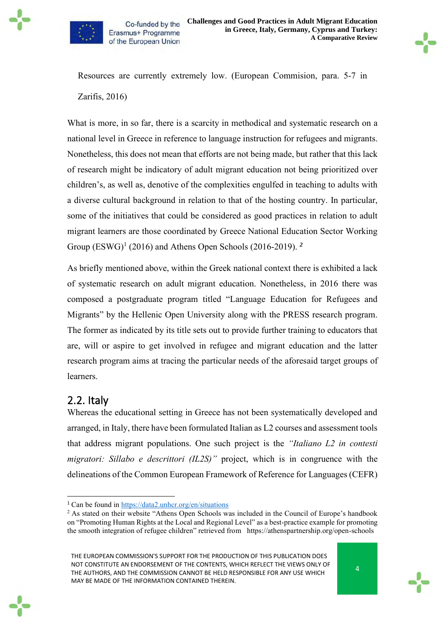



Resources are currently extremely low. (European Commision, para. 5-7 in Zarifis, 2016)

What is more, in so far, there is a scarcity in methodical and systematic research on a national level in Greece in reference to language instruction for refugees and migrants. Nonetheless, this does not mean that efforts are not being made, but rather that this lack of research might be indicatory of adult migrant education not being prioritized over children's, as well as, denotive of the complexities engulfed in teaching to adults with a diverse cultural background in relation to that of the hosting country. In particular, some of the initiatives that could be considered as good practices in relation to adult migrant learners are those coordinated by Greece National Education Sector Working Group (ESWG)<sup>1</sup> (2016) and Athens Open Schools (2016-2019).<sup>2</sup>

As briefly mentioned above, within the Greek national context there is exhibited a lack of systematic research on adult migrant education. Nonetheless, in 2016 there was composed a postgraduate program titled "Language Education for Refugees and Migrants" by the Hellenic Open University along with the PRESS research program. The former as indicated by its title sets out to provide further training to educators that are, will or aspire to get involved in refugee and migrant education and the latter research program aims at tracing the particular needs of the aforesaid target groups of learners.

#### <span id="page-4-0"></span>2.2. Italy

Whereas the educational setting in Greece has not been systematically developed and arranged, in Italy, there have been formulated Italian as L2 courses and assessment tools that address migrant populations. One such project is the *"Italiano L2 in contesti migratori: Sillabo e descrittori (IL2S)"* project, which is in congruence with the delineations of the Common European Framework of Reference for Languages (CEFR)

THE EUROPEAN COMMISSION'S SUPPORT FOR THE PRODUCTION OF THIS PUBLICATION DOES NOT CONSTITUTE AN ENDORSEMENT OF THE CONTENTS, WHICH REFLECT THE VIEWS ONLY OF THE AUTHORS, AND THE COMMISSION CANNOT BE HELD RESPONSIBLE FOR ANY USE WHICH MAY BE MADE OF THE INFORMATION CONTAINED THEREIN.







<sup>1</sup> Can be found in<https://data2.unhcr.org/en/situations>

<sup>&</sup>lt;sup>2</sup> As stated on their website "Athens Open Schools was included in the Council of Europe's handbook on "Promoting Human Rights at the Local and Regional Level" as a best-practice example for promoting the smooth integration of refugee children" retrieved from https://athenspartnership.org/open-schools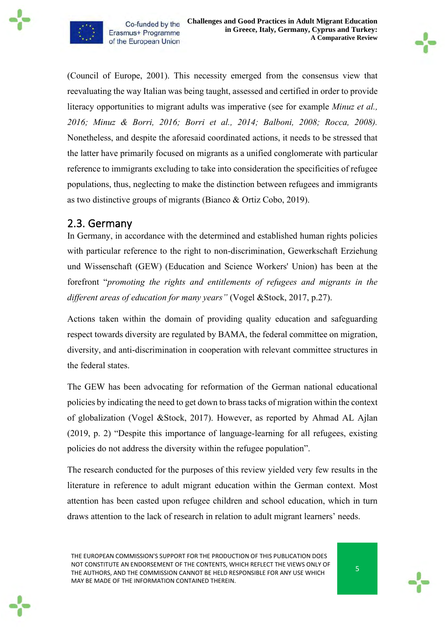



(Council of Europe, 2001). This necessity emerged from the consensus view that reevaluating the way Italian was being taught, assessed and certified in order to provide literacy opportunities to migrant adults was imperative (see for example *Minuz et al., 2016; Minuz & Borri, 2016; Borri et al., 2014; Balboni, 2008; Rocca, 2008).*  Nonetheless, and despite the aforesaid coordinated actions, it needs to be stressed that the latter have primarily focused on migrants as a unified conglomerate with particular reference to immigrants excluding to take into consideration the specificities of refugee populations, thus, neglecting to make the distinction between refugees and immigrants as two distinctive groups of migrants (Bianco & Ortiz Cobo, 2019).

#### <span id="page-5-0"></span>2.3. Germany

In Germany, in accordance with the determined and established human rights policies with particular reference to the right to non-discrimination, Gewerkschaft Erziehung und Wissenschaft (GEW) (Education and Science Workers' Union) has been at the forefront "*promoting the rights and entitlements of refugees and migrants in the different areas of education for many years"* (Vogel &Stock, 2017, p.27).

Actions taken within the domain of providing quality education and safeguarding respect towards diversity are regulated by BAMA, the federal committee on migration, diversity, and anti-discrimination in cooperation with relevant committee structures in the federal states.

The GEW has been advocating for reformation of the German national educational policies by indicating the need to get down to brass tacks of migration within the context of globalization (Vogel &Stock, 2017). However, as reported by Ahmad AL Ajlan (2019, p. 2) "Despite this importance of language-learning for all refugees, existing policies do not address the diversity within the refugee population".

The research conducted for the purposes of this review yielded very few results in the literature in reference to adult migrant education within the German context. Most attention has been casted upon refugee children and school education, which in turn draws attention to the lack of research in relation to adult migrant learners' needs.

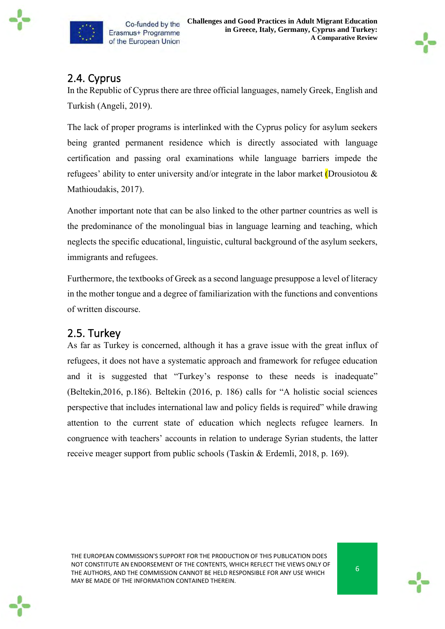



#### <span id="page-6-0"></span>2.4. Cyprus

In the Republic of Cyprus there are three official languages, namely Greek, English and Turkish (Angeli, 2019).

The lack of proper programs is interlinked with the Cyprus policy for asylum seekers being granted permanent residence which is directly associated with language certification and passing oral examinations while language barriers impede the refugees' ability to enter university and/or integrate in the labor market (Drousiotou & Mathioudakis, 2017).

Another important note that can be also linked to the other partner countries as well is the predominance of the monolingual bias in language learning and teaching, which neglects the specific educational, linguistic, cultural background of the asylum seekers, immigrants and refugees.

Furthermore, the textbooks of Greek as a second language presuppose a level of literacy in the mother tongue and a degree of familiarization with the functions and conventions of written discourse.

#### <span id="page-6-1"></span>2.5. Turkey

As far as Turkey is concerned, although it has a grave issue with the great influx of refugees, it does not have a systematic approach and framework for refugee education and it is suggested that "Turkey's response to these needs is inadequate" (Beltekin,2016, p.186). Beltekin (2016, p. 186) calls for "A holistic social sciences perspective that includes international law and policy fields is required" while drawing attention to the current state of education which neglects refugee learners. In congruence with teachers' accounts in relation to underage Syrian students, the latter receive meager support from public schools (Taskin & Erdemli, 2018, p. 169).

THE EUROPEAN COMMISSION'S SUPPORT FOR THE PRODUCTION OF THIS PUBLICATION DOES NOT CONSTITUTE AN ENDORSEMENT OF THE CONTENTS, WHICH REFLECT THE VIEWS ONLY OF THE AUTHORS, AND THE COMMISSION CANNOT BE HELD RESPONSIBLE FOR ANY USE WHICH MAY BE MADE OF THE INFORMATION CONTAINED THEREIN.

6



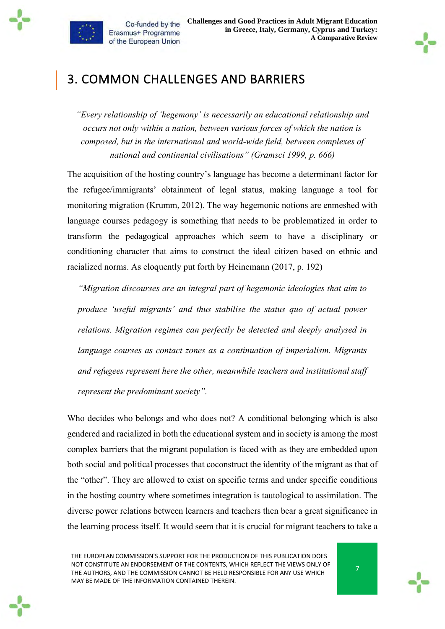

#### <span id="page-7-0"></span>3. COMMON CHALLENGES AND BARRIERS

*"Every relationship of 'hegemony' is necessarily an educational relationship and occurs not only within a nation, between various forces of which the nation is composed, but in the international and world-wide field, between complexes of national and continental civilisations" (Gramsci 1999, p. 666)*

The acquisition of the hosting country's language has become a determinant factor for the refugee/immigrants' obtainment of legal status, making language a tool for monitoring migration (Krumm, 2012). The way hegemonic notions are enmeshed with language courses pedagogy is something that needs to be problematized in order to transform the pedagogical approaches which seem to have a disciplinary or conditioning character that aims to construct the ideal citizen based on ethnic and racialized norms. As eloquently put forth by Heinemann (2017, p. 192)

*"Migration discourses are an integral part of hegemonic ideologies that aim to produce 'useful migrants' and thus stabilise the status quo of actual power relations. Migration regimes can perfectly be detected and deeply analysed in language courses as contact zones as a continuation of imperialism. Migrants and refugees represent here the other, meanwhile teachers and institutional staff represent the predominant society".*

Who decides who belongs and who does not? A conditional belonging which is also gendered and racialized in both the educational system and in society is among the most complex barriers that the migrant population is faced with as they are embedded upon both social and political processes that coconstruct the identity of the migrant as that of the "other". They are allowed to exist on specific terms and under specific conditions in the hosting country where sometimes integration is tautological to assimilation. The diverse power relations between learners and teachers then bear a great significance in the learning process itself. It would seem that it is crucial for migrant teachers to take a



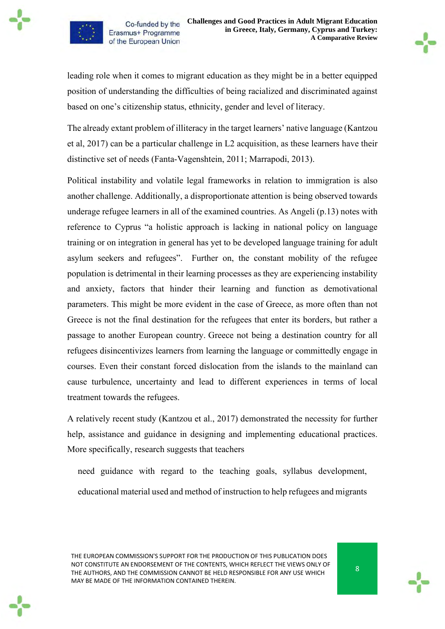

leading role when it comes to migrant education as they might be in a better equipped position of understanding the difficulties of being racialized and discriminated against based on one's citizenship status, ethnicity, gender and level of literacy.

The already extant problem of illiteracy in the target learners' native language (Kantzou et al, 2017) can be a particular challenge in L2 acquisition, as these learners have their distinctive set of needs (Fanta-Vagenshtein, 2011; Marrapodi, 2013).

Political instability and volatile legal frameworks in relation to immigration is also another challenge. Additionally, a disproportionate attention is being observed towards underage refugee learners in all of the examined countries. As Angeli (p.13) notes with reference to Cyprus "a holistic approach is lacking in national policy on language training or on integration in general has yet to be developed language training for adult asylum seekers and refugees". Further on, the constant mobility of the refugee population is detrimental in their learning processes as they are experiencing instability and anxiety, factors that hinder their learning and function as demotivational parameters. This might be more evident in the case of Greece, as more often than not Greece is not the final destination for the refugees that enter its borders, but rather a passage to another European country. Greece not being a destination country for all refugees disincentivizes learners from learning the language or committedly engage in courses. Even their constant forced dislocation from the islands to the mainland can cause turbulence, uncertainty and lead to different experiences in terms of local treatment towards the refugees.

A relatively recent study (Kantzou et al., 2017) demonstrated the necessity for further help, assistance and guidance in designing and implementing educational practices. More specifically, research suggests that teachers

need guidance with regard to the teaching goals, syllabus development, educational material used and method of instruction to help refugees and migrants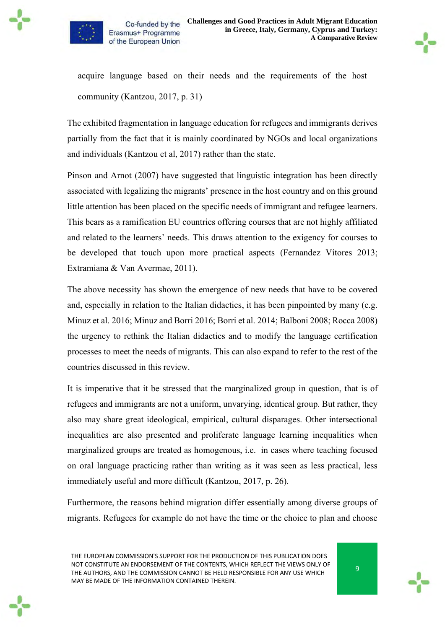



acquire language based on their needs and the requirements of the host community (Kantzou, 2017, p. 31)

The exhibited fragmentation in language education for refugees and immigrants derives partially from the fact that it is mainly coordinated by NGOs and local organizations and individuals (Kantzou et al, 2017) rather than the state.

Pinson and Arnot (2007) have suggested that linguistic integration has been directly associated with legalizing the migrants' presence in the host country and on this ground little attention has been placed on the specific needs of immigrant and refugee learners. This bears as a ramification EU countries offering courses that are not highly affiliated and related to the learners' needs. This draws attention to the exigency for courses to be developed that touch upon more practical aspects (Fernandez Vítores 2013; Extramiana & Van Avermae, 2011).

The above necessity has shown the emergence of new needs that have to be covered and, especially in relation to the Italian didactics, it has been pinpointed by many (e.g. Minuz et al. 2016; Minuz and Borri 2016; Borri et al. 2014; Balboni 2008; Rocca 2008) the urgency to rethink the Italian didactics and to modify the language certification processes to meet the needs of migrants. This can also expand to refer to the rest of the countries discussed in this review.

It is imperative that it be stressed that the marginalized group in question, that is of refugees and immigrants are not a uniform, unvarying, identical group. But rather, they also may share great ideological, empirical, cultural disparages. Other intersectional inequalities are also presented and proliferate language learning inequalities when marginalized groups are treated as homogenous, i.e. in cases where teaching focused on oral language practicing rather than writing as it was seen as less practical, less immediately useful and more difficult (Kantzou, 2017, p. 26).

Furthermore, the reasons behind migration differ essentially among diverse groups of migrants. Refugees for example do not have the time or the choice to plan and choose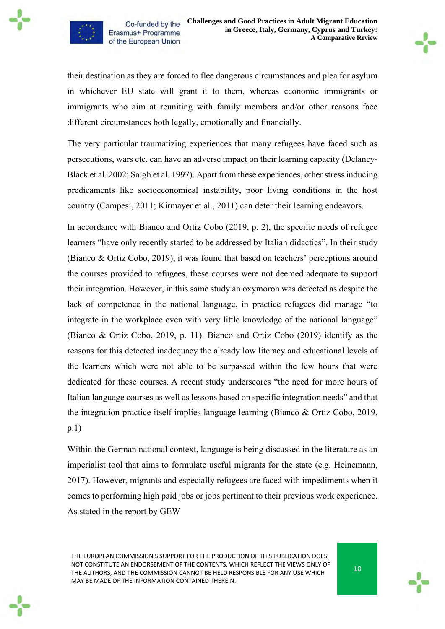



their destination as they are forced to flee dangerous circumstances and plea for asylum in whichever EU state will grant it to them, whereas economic immigrants or immigrants who aim at reuniting with family members and/or other reasons face different circumstances both legally, emotionally and financially.

The very particular traumatizing experiences that many refugees have faced such as persecutions, wars etc. can have an adverse impact on their learning capacity (Delaney-Black et al. 2002; Saigh et al. 1997). Apart from these experiences, other stress inducing predicaments like socioeconomical instability, poor living conditions in the host country (Campesi, 2011; Kirmayer et al., 2011) can deter their learning endeavors.

In accordance with Bianco and Ortiz Cobo (2019, p. 2), the specific needs of refugee learners "have only recently started to be addressed by Italian didactics". In their study (Bianco & Ortiz Cobo, 2019), it was found that based on teachers' perceptions around the courses provided to refugees, these courses were not deemed adequate to support their integration. However, in this same study an oxymoron was detected as despite the lack of competence in the national language, in practice refugees did manage "to integrate in the workplace even with very little knowledge of the national language" (Bianco & Ortiz Cobo, 2019, p. 11). Bianco and Ortiz Cobo (2019) identify as the reasons for this detected inadequacy the already low literacy and educational levels of the learners which were not able to be surpassed within the few hours that were dedicated for these courses. A recent study underscores "the need for more hours of Italian language courses as well as lessons based on specific integration needs" and that the integration practice itself implies language learning (Bianco & Ortiz Cobo, 2019, p.1)

Within the German national context, language is being discussed in the literature as an imperialist tool that aims to formulate useful migrants for the state (e.g. Heinemann, 2017). However, migrants and especially refugees are faced with impediments when it comes to performing high paid jobs or jobs pertinent to their previous work experience. As stated in the report by GEW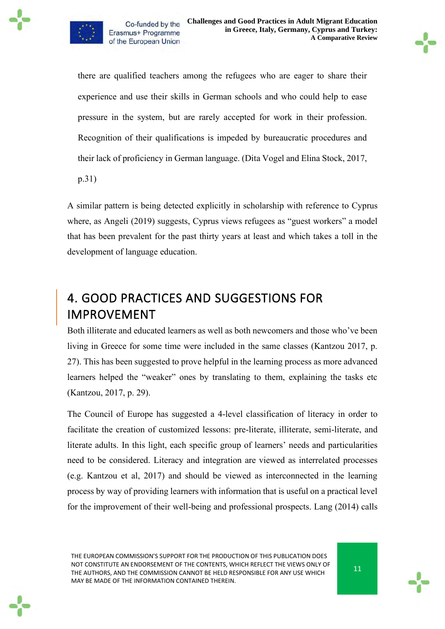



there are qualified teachers among the refugees who are eager to share their experience and use their skills in German schools and who could help to ease pressure in the system, but are rarely accepted for work in their profession. Recognition of their qualifications is impeded by bureaucratic procedures and their lack of proficiency in German language. (Dita Vogel and Elina Stock, 2017,

p.31)

A similar pattern is being detected explicitly in scholarship with reference to Cyprus where, as Angeli (2019) suggests, Cyprus views refugees as "guest workers" a model that has been prevalent for the past thirty years at least and which takes a toll in the development of language education.

### <span id="page-11-0"></span>4. GOOD PRACTICES AND SUGGESTIONS FOR IMPROVEMENT

Both illiterate and educated learners as well as both newcomers and those who've been living in Greece for some time were included in the same classes (Kantzou 2017, p. 27). This has been suggested to prove helpful in the learning process as more advanced learners helped the "weaker" ones by translating to them, explaining the tasks etc (Kantzou, 2017, p. 29).

The Council of Europe has suggested a 4-level classification of literacy in order to facilitate the creation of customized lessons: pre-literate, illiterate, semi-literate, and literate adults. In this light, each specific group of learners' needs and particularities need to be considered. Literacy and integration are viewed as interrelated processes (e.g. Kantzou et al, 2017) and should be viewed as interconnected in the learning process by way of providing learners with information that is useful on a practical level for the improvement of their well-being and professional prospects. Lang (2014) calls

THE EUROPEAN COMMISSION'S SUPPORT FOR THE PRODUCTION OF THIS PUBLICATION DOES NOT CONSTITUTE AN ENDORSEMENT OF THE CONTENTS, WHICH REFLECT THE VIEWS ONLY OF THE AUTHORS, AND THE COMMISSION CANNOT BE HELD RESPONSIBLE FOR ANY USE WHICH MAY BE MADE OF THE INFORMATION CONTAINED THEREIN.

11



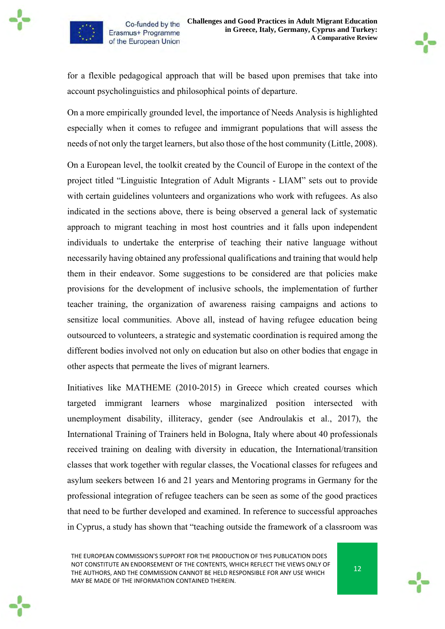

for a flexible pedagogical approach that will be based upon premises that take into account psycholinguistics and philosophical points of departure.

On a more empirically grounded level, the importance of Needs Analysis is highlighted especially when it comes to refugee and immigrant populations that will assess the needs of not only the target learners, but also those of the host community (Little, 2008).

On a European level, the toolkit created by the Council of Europe in the context of the project titled "Linguistic Integration of Adult Migrants - LIAM" sets out to provide with certain guidelines volunteers and organizations who work with refugees. As also indicated in the sections above, there is being observed a general lack of systematic approach to migrant teaching in most host countries and it falls upon independent individuals to undertake the enterprise of teaching their native language without necessarily having obtained any professional qualifications and training that would help them in their endeavor. Some suggestions to be considered are that policies make provisions for the development of inclusive schools, the implementation of further teacher training, the organization of awareness raising campaigns and actions to sensitize local communities. Above all, instead of having refugee education being outsourced to volunteers, a strategic and systematic coordination is required among the different bodies involved not only on education but also on other bodies that engage in other aspects that permeate the lives of migrant learners.

Initiatives like MATHEME (2010-2015) in Greece which created courses which targeted immigrant learners whose marginalized position intersected with unemployment disability, illiteracy, gender (see Androulakis et al., 2017), the International Training of Trainers held in Bologna, Italy where about 40 professionals received training on dealing with diversity in education, the International/transition classes that work together with regular classes, the Vocational classes for refugees and asylum seekers between 16 and 21 years and Mentoring programs in Germany for the professional integration of refugee teachers can be seen as some of the good practices that need to be further developed and examined. In reference to successful approaches in Cyprus, a study has shown that "teaching outside the framework of a classroom was

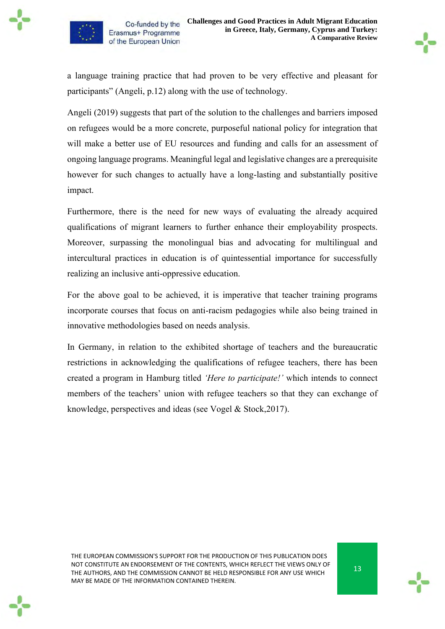

a language training practice that had proven to be very effective and pleasant for participants" (Angeli, p.12) along with the use of technology.

Angeli (2019) suggests that part of the solution to the challenges and barriers imposed on refugees would be a more concrete, purposeful national policy for integration that will make a better use of EU resources and funding and calls for an assessment of ongoing language programs. Meaningful legal and legislative changes are a prerequisite however for such changes to actually have a long-lasting and substantially positive impact.

Furthermore, there is the need for new ways of evaluating the already acquired qualifications of migrant learners to further enhance their employability prospects. Moreover, surpassing the monolingual bias and advocating for multilingual and intercultural practices in education is of quintessential importance for successfully realizing an inclusive anti-oppressive education.

For the above goal to be achieved, it is imperative that teacher training programs incorporate courses that focus on anti-racism pedagogies while also being trained in innovative methodologies based on needs analysis.

In Germany, in relation to the exhibited shortage of teachers and the bureaucratic restrictions in acknowledging the qualifications of refugee teachers, there has been created a program in Hamburg titled *'Here to participate!'* which intends to connect members of the teachers' union with refugee teachers so that they can exchange of knowledge, perspectives and ideas (see Vogel & Stock,2017).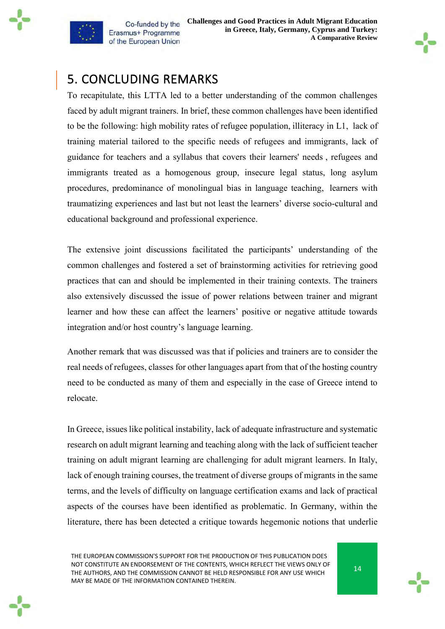

#### <span id="page-14-0"></span>5. CONCLUDING REMARKS

To recapitulate, this LTTA led to a better understanding of the common challenges faced by adult migrant trainers. In brief, these common challenges have been identified to be the following: high mobility rates of refugee population, illiteracy in L1, lack of training material tailored to the specific needs of refugees and immigrants, lack of guidance for teachers and a syllabus that covers their learners' needs , refugees and immigrants treated as a homogenous group, insecure legal status, long asylum procedures, predominance of monolingual bias in language teaching, learners with traumatizing experiences and last but not least the learners' diverse socio-cultural and educational background and professional experience.

The extensive joint discussions facilitated the participants' understanding of the common challenges and fostered a set of brainstorming activities for retrieving good practices that can and should be implemented in their training contexts. The trainers also extensively discussed the issue of power relations between trainer and migrant learner and how these can affect the learners' positive or negative attitude towards integration and/or host country's language learning.

Another remark that was discussed was that if policies and trainers are to consider the real needs of refugees, classes for other languages apart from that of the hosting country need to be conducted as many of them and especially in the case of Greece intend to relocate.

In Greece, issues like political instability, lack of adequate infrastructure and systematic research on adult migrant learning and teaching along with the lack of sufficient teacher training on adult migrant learning are challenging for adult migrant learners. In Italy, lack of enough training courses, the treatment of diverse groups of migrants in the same terms, and the levels of difficulty on language certification exams and lack of practical aspects of the courses have been identified as problematic. In Germany, within the literature, there has been detected a critique towards hegemonic notions that underlie

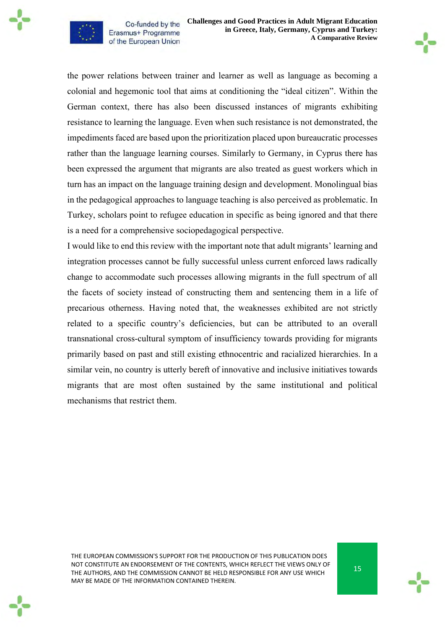

the power relations between trainer and learner as well as language as becoming a colonial and hegemonic tool that aims at conditioning the "ideal citizen". Within the German context, there has also been discussed instances of migrants exhibiting resistance to learning the language. Even when such resistance is not demonstrated, the impediments faced are based upon the prioritization placed upon bureaucratic processes rather than the language learning courses. Similarly to Germany, in Cyprus there has been expressed the argument that migrants are also treated as guest workers which in turn has an impact on the language training design and development. Monolingual bias in the pedagogical approaches to language teaching is also perceived as problematic. In Turkey, scholars point to refugee education in specific as being ignored and that there is a need for a comprehensive sociopedagogical perspective.

I would like to end this review with the important note that adult migrants' learning and integration processes cannot be fully successful unless current enforced laws radically change to accommodate such processes allowing migrants in the full spectrum of all the facets of society instead of constructing them and sentencing them in a life of precarious otherness. Having noted that, the weaknesses exhibited are not strictly related to a specific country's deficiencies, but can be attributed to an overall transnational cross-cultural symptom of insufficiency towards providing for migrants primarily based on past and still existing ethnocentric and racialized hierarchies. In a similar vein, no country is utterly bereft of innovative and inclusive initiatives towards migrants that are most often sustained by the same institutional and political mechanisms that restrict them.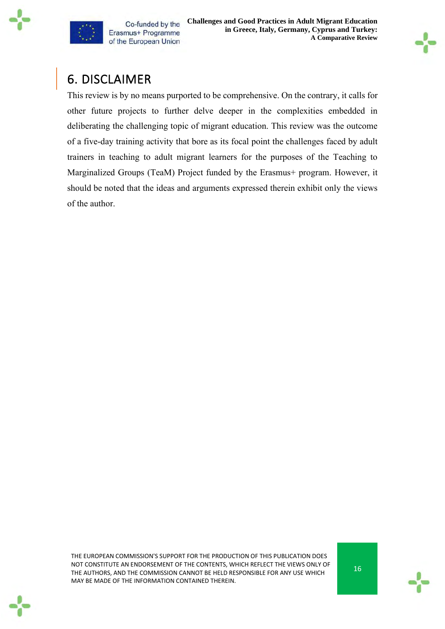

**Challenges and Good Practices in Adult Migrant Education in Greece, Italy, Germany, Cyprus and Turkey: A Comparative Review**



#### <span id="page-16-0"></span>6. DISCLAIMER

This review is by no means purported to be comprehensive. On the contrary, it calls for other future projects to further delve deeper in the complexities embedded in deliberating the challenging topic of migrant education. This review was the outcome of a five-day training activity that bore as its focal point the challenges faced by adult trainers in teaching to adult migrant learners for the purposes of the Teaching to Marginalized Groups (TeaM) Project funded by the Erasmus+ program. However, it should be noted that the ideas and arguments expressed therein exhibit only the views of the author.

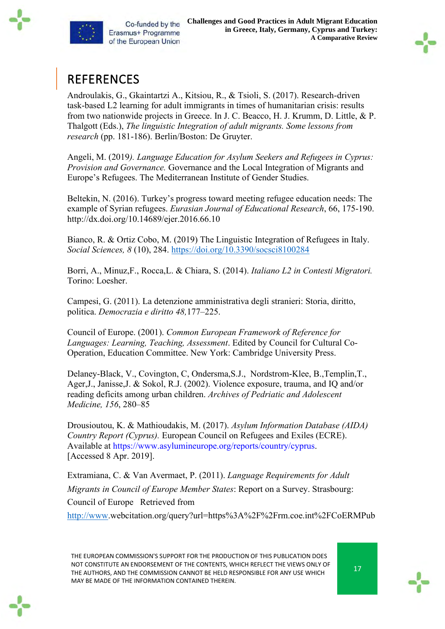

## <span id="page-17-0"></span>REFERENCES

Androulakis, G., Gkaintartzi A., Kitsiou, R., & Tsioli, S. (2017). Research-driven task-based L2 learning for adult immigrants in times of humanitarian crisis: results from two nationwide projects in Greece. In J. C. Beacco, H. J. Krumm, D. Little, & P. Thalgott (Eds.), *The linguistic Integration of adult migrants. Some lessons from research* (pp. 181-186). Berlin/Boston: De Gruyter.

Angeli, M. (2019*). Language Education for Asylum Seekers and Refugees in Cyprus: Provision and Governance.* Governance and the Local Integration of Migrants and Europe's Refugees. The Mediterranean Institute of Gender Studies.

Beltekin, N. (2016). Turkey's progress toward meeting refugee education needs: The example of Syrian refugees. *Eurasian Journal of Educational Research*, 66, 175-190. http://dx.doi.org/10.14689/ejer.2016.66.10

Bianco, R. & Ortiz Cobo, M. (2019) The Linguistic Integration of Refugees in Italy. *Social Sciences, 8* (10), 284.<https://doi.org/10.3390/socsci8100284>

Borri, A., Minuz,F., Rocca,L. & Chiara, S. (2014). *Italiano L2 in Contesti Migratori.* Torino: Loesher.

Campesi, G. (2011). La detenzione amministrativa degli stranieri: Storia, diritto, politica. *Democrazia e diritto 48,*177–225.

Council of Europe. (2001). *Common European Framework of Reference for Languages: Learning, Teaching, Assessment*. Edited by Council for Cultural Co-Operation, Education Committee. New York: Cambridge University Press.

Delaney-Black, V., Covington, C, Ondersma,S.J., Nordstrom-Klee, B.,Templin,T., Ager,J., Janisse,J. & Sokol, R.J. (2002). Violence exposure, trauma, and IQ and/or reading deficits among urban children. *Archives of Pedriatic and Adolescent Medicine, 156*, 280–85

Drousioutou, K. & Mathioudakis, M. (2017). *Asylum Information Database (AIDA) Country Report (Cyprus).* European Council on Refugees and Exiles (ECRE). Available at https://www.asylumineurope.org/reports/country/cyprus. [Accessed 8 Apr. 2019].

Extramiana, C. & Van Avermaet, P. (2011). *Language Requirements for Adult Migrants in Council of Europe Member States*: Report on a Survey. Strasbourg: Council of Europe Retrieved from

[http://www.](http://www/)webcitation.org/query?url=https%3A%2F%2Frm.coe.int%2FCoERMPub

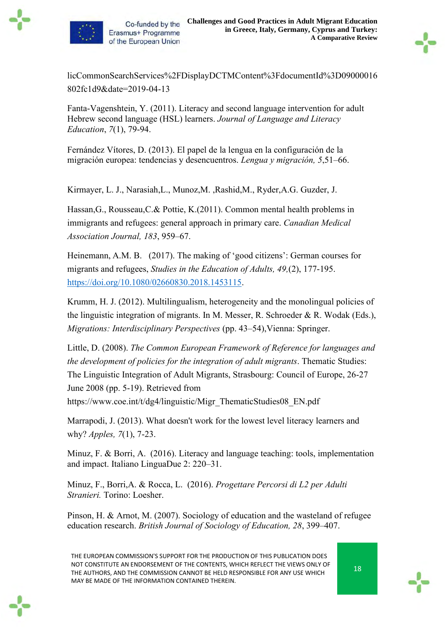

licCommonSearchServices%2FDisplayDCTMContent%3FdocumentId%3D09000016 802fc1d9&date=2019-04-13

Fanta-Vagenshtein, Y. (2011). Literacy and second language intervention for adult Hebrew second language (HSL) learners. *Journal of Language and Literacy Education*, *7*(1), 79-94.

Fernández Vítores, D. (2013). El papel de la lengua en la configuración de la migración europea: tendencias y desencuentros. *Lengua y migración, 5*,51–66.

Kirmayer, L. J., Narasiah,L., Munoz,M. ,Rashid,M., Ryder,A.G. Guzder, J.

Hassan,G., Rousseau,C.& Pottie, K.(2011). Common mental health problems in immigrants and refugees: general approach in primary care. *Canadian Medical Association Journal, 183*, 959–67.

Heinemann, A.M. B. (2017). The making of 'good citizens': German courses for migrants and refugees, *Studies in the Education of Adults, 49,*(2), 177-195. [https://doi.org/10.1080/02660830.2018.1453115.](https://doi.org/10.1080/02660830.2018.1453115)

Krumm, H. J. (2012). Multilingualism, heterogeneity and the monolingual policies of the linguistic integration of migrants. In M. Messer, R. Schroeder & R. Wodak (Eds.), *Migrations: Interdisciplinary Perspectives* (pp. 43–54),Vienna: Springer.

Little, D. (2008). *The Common European Framework of Reference for languages and the development of policies for the integration of adult migrants*. Thematic Studies: The Linguistic Integration of Adult Migrants, Strasbourg: Council of Europe, 26-27 June 2008 (pp. 5-19). Retrieved from

https://www.coe.int/t/dg4/linguistic/Migr\_ThematicStudies08\_EN.pdf

Marrapodi, J. (2013). What doesn't work for the lowest level literacy learners and why? *Apples, 7*(1), 7-23.

Minuz, F. & Borri, A. (2016). Literacy and language teaching: tools, implementation and impact. Italiano LinguaDue 2: 220–31.

Minuz, F., Borri,A. & Rocca, L. (2016). *Progettare Percorsi di L2 per Adulti Stranieri.* Torino: Loesher.

Pinson, H. & Arnot, M. (2007). Sociology of education and the wasteland of refugee education research. *British Journal of Sociology of Education, 28*, 399–407.